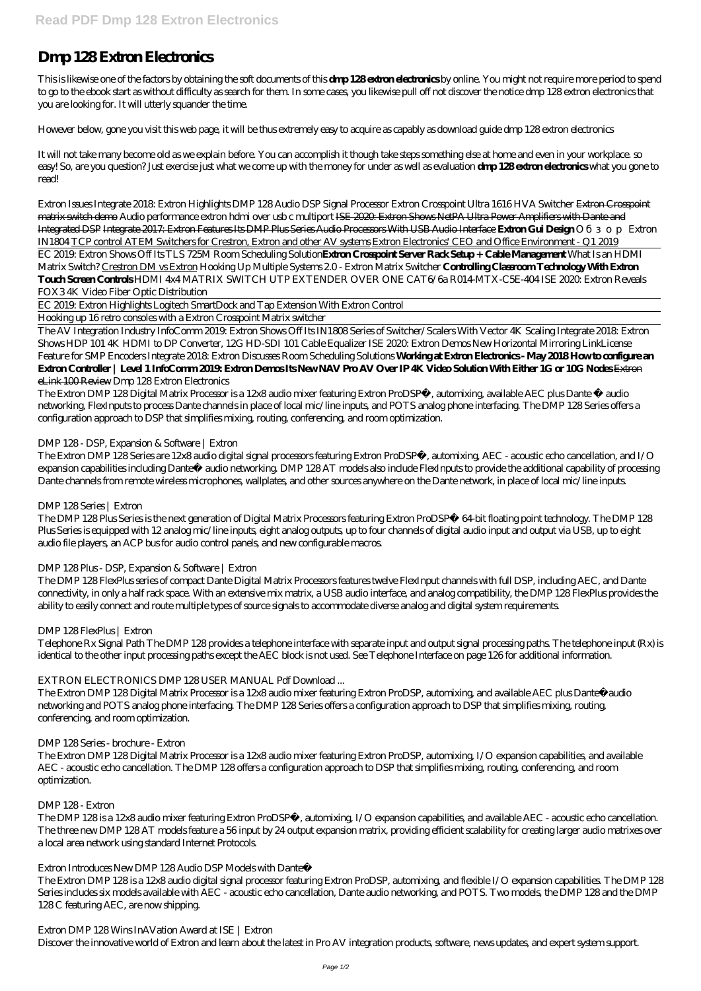# **Dmp 128 Extron Electronics**

This is likewise one of the factors by obtaining the soft documents of this **dmp 128 extron electronics** by online. You might not require more period to spend to go to the ebook start as without difficulty as search for them. In some cases, you likewise pull off not discover the notice dmp 128 extron electronics that you are looking for. It will utterly squander the time.

However below, gone you visit this web page, it will be thus extremely easy to acquire as capably as download guide dmp 128 extron electronics

It will not take many become old as we explain before. You can accomplish it though take steps something else at home and even in your workplace. so easy! So, are you question? Just exercise just what we come up with the money for under as well as evaluation **dmp 128 extron electronics** what you gone to read!

Extron Issues Integrate 2018: Extron Highlights DMP 128 Audio DSP Signal Processor *Extron Crosspoint Ultra 1616 HVA Switcher* Extron Crosspoint matrix switch demo *Audio performance extron hdmi over usb c multiport* ISE 2020: Extron Shows NetPA Ultra Power Amplifiers with Dante and Integrated DSP Integrate 2017: Extron Features Its DMP Plus Series Audio Processors With USB Audio Interface **Extron Gui Design** *Обзор Extron IN1804* TCP control ATEM Switchers for Crestron, Extron and other AV systems Extron Electronics' CEO and Office Environment - Q1 2019

EC 2019: Extron Shows Off Its TLS 725M Room Scheduling Solution**Extron Crosspoint Server Rack Setup + Cable Management** *What Is an HDMI Matrix Switch?* Crestron DM vs Extron *Hooking Up Multiple Systems 2.0 - Extron Matrix Switcher* **Controlling Classroom Technology With Extron Touch Screen Controls** HDMI 4x4 MATRIX SWITCH UTP EXTENDER OVER ONE CAT6/6a R014-MTX-C5E-404 *ISE 2020: Extron Reveals FOX3 4K Video Fiber Optic Distribution*

EC 2019: Extron Highlights Logitech SmartDock and Tap Extension With Extron Control

Hooking up 16 retro consoles with a Extron Crosspoint Matrix switcher

The AV Integration Industry InfoComm 2019: Extron Shows Off Its IN1808 Series of Switcher/Scalers With Vector 4K Scaling Integrate 2018: Extron Shows HDP 101 4K HDMI to DP Converter, 12G HD-SDI 101 Cable Equalizer ISE 2020. Extron Demos New Horizontal Mirroring LinkLicense Feature for SMP Encoders *Integrate 2018: Extron Discusses Room Scheduling Solutions* **Working at Extron Electronics - May 2018 How to configure an Extron Controller | Level 1 InfoComm 2019: Extron Demos Its New NAV Pro AV Over IP 4K Video Solution With Either 1G or 10G Nodes** Extron eLink 100 Review *Dmp 128 Extron Electronics*

The Extron DMP 128 Digital Matrix Processor is a 12x8 audio mixer featuring Extron ProDSP™, automixing, available AEC plus Dante ® audio networking, FlexInputs to process Dante channels in place of local mic/line inputs, and POTS analog phone interfacing. The DMP 128 Series offers a configuration approach to DSP that simplifies mixing, routing, conferencing, and room optimization.

The Extron DMP 128 is a 12x8 audio digital signal processor featuring Extron ProDSP, automixing, and flexible I/O expansion capabilities. The DMP 128 Series includes six models available with AEC - acoustic echo cancellation, Dante audio networking, and POTS. Two models, the DMP 128 and the DMP 128 C featuring AEC, are now shipping.

# *DMP 128 - DSP, Expansion & Software | Extron*

The Extron DMP 128 Series are 12x8 audio digital signal processors featuring Extron ProDSP™, automixing, AEC - acoustic echo cancellation, and I/O expansion capabilities including Dante™ audio networking. DMP 128 AT models also include FlexInputs to provide the additional capability of processing Dante channels from remote wireless microphones, wallplates, and other sources anywhere on the Dante network, in place of local mic/line inputs.

## *DMP 128 Series | Extron*

The DMP 128 Plus Series is the next generation of Digital Matrix Processors featuring Extron ProDSP™ 64-bit floating point technology. The DMP 128 Plus Series is equipped with 12 analog mic/line inputs, eight analog outputs, up to four channels of digital audio input and output via USB, up to eight audio file players, an ACP bus for audio control panels, and new configurable macros.

## *DMP 128 Plus - DSP, Expansion & Software | Extron*

The DMP 128 FlexPlus series of compact Dante Digital Matrix Processors features twelve FlexInput channels with full DSP, including AEC, and Dante connectivity, in only a half rack space. With an extensive mix matrix, a USB audio interface, and analog compatibility, the DMP 128 FlexPlus provides the ability to easily connect and route multiple types of source signals to accommodate diverse analog and digital system requirements.

# *DMP 128 FlexPlus | Extron*

Telephone Rx Signal Path The DMP 128 provides a telephone interface with separate input and output signal processing paths. The telephone input (Rx) is identical to the other input processing paths except the AEC block is not used. See Telephone Interface on page 126 for additional information.

# *EXTRON ELECTRONICS DMP 128 USER MANUAL Pdf Download ...*

The Extron DMP 128 Digital Matrix Processor is a 12x8 audio mixer featuring Extron ProDSP, automixing, and available AEC plus Dante™audio networking and POTS analog phone interfacing. The DMP 128 Series offers a configuration approach to DSP that simplifies mixing, routing, conferencing, and room optimization.

#### *DMP 128 Series - brochure - Extron*

The Extron DMP 128 Digital Matrix Processor is a 12x8 audio mixer featuring Extron ProDSP, automixing, I/O expansion capabilities, and available AEC - acoustic echo cancellation. The DMP 128 offers a configuration approach to DSP that simplifies mixing, routing, conferencing, and room optimization.

#### *DMP 128 - Extron*

The DMP 128 is a 12x8 audio mixer featuring Extron ProDSP™, automixing, I/O expansion capabilities, and available AEC - acoustic echo cancellation. The three new DMP 128 AT models feature a 56 input by 24 output expansion matrix, providing efficient scalability for creating larger audio matrixes over a local area network using standard Internet Protocols.

#### *Extron Introduces New DMP 128 Audio DSP Models with Dante™*

*Extron DMP 128 Wins InAVation Award at ISE | Extron*

Discover the innovative world of Extron and learn about the latest in Pro AV integration products, software, news updates, and expert system support.